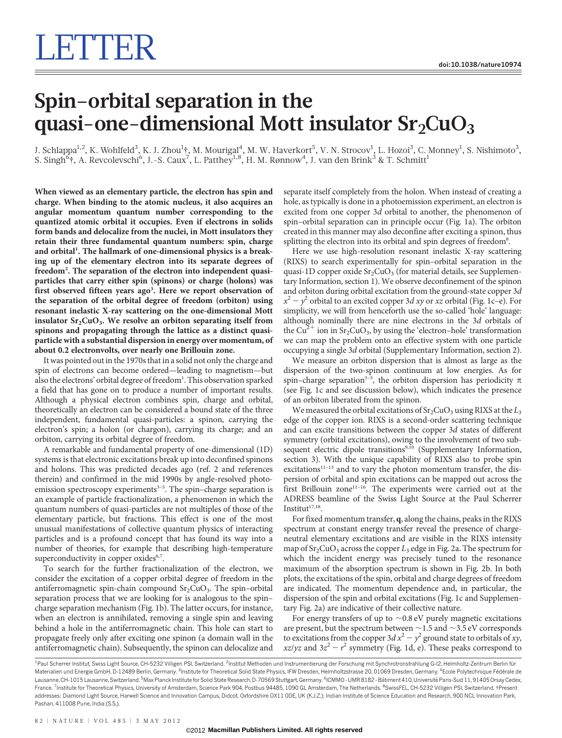## Spin–orbital separation in the quasi-one-dimensional Mott insulator  $Sr<sub>2</sub>CuO<sub>3</sub>$

J. Schlappa<sup>1,2</sup>, K. Wohlfeld<sup>3</sup>, K. J. Zhou<sup>1</sup>†, M. Mourigal<sup>4</sup>, M. W. Haverkort<sup>5</sup>, V. N. Strocov<sup>1</sup>, L. Hozoi<sup>3</sup>, C. Monney<sup>1</sup>, S. Nishimoto<sup>3</sup>, S. Singh $^{6}$ †, A. Revcolevschi $^{6}$ , J.-S. Caux $^{7}$ , L. Patthey $^{1,8}$ , H. M. Rønnow $^{4}$ , J. van den Brink $^{3}$  & T. Schmitt $^{1}$ 

When viewed as an elementary particle, the electron has spin and charge. When binding to the atomic nucleus, it also acquires an angular momentum quantum number corresponding to the quantized atomic orbital it occupies. Even if electrons in solids form bands and delocalize from the nuclei, in Mott insulators they retain their three fundamental quantum numbers: spin, charge and orbital<sup>1</sup>. The hallmark of one-dimensional physics is a breaking up of the elementary electron into its separate degrees of freedom<sup>2</sup>. The separation of the electron into independent quasiparticles that carry either spin (spinons) or charge (holons) was first observed fifteen years ago<sup>3</sup>. Here we report observation of the separation of the orbital degree of freedom (orbiton) using resonant inelastic X-ray scattering on the one-dimensional Mott insulator  $Sr<sub>2</sub>CuO<sub>3</sub>$ . We resolve an orbiton separating itself from spinons and propagating through the lattice as a distinct quasiparticle with a substantial dispersion in energy over momentum, of about 0.2 electronvolts, over nearly one Brillouin zone.

It was pointed out in the 1970s that in a solid not only the charge and spin of electrons can become ordered—leading to magnetism—but also the electrons' orbital degree of freedom<sup>1</sup>. This observation sparked a field that has gone on to produce a number of important results. Although a physical electron combines spin, charge and orbital, theoretically an electron can be considered a bound state of the three independent, fundamental quasi-particles: a spinon, carrying the electron's spin; a holon (or chargon), carrying its charge; and an orbiton, carrying its orbital degree of freedom.

A remarkable and fundamental property of one-dimensional (1D) systems is that electronic excitations break up into deconfined spinons and holons. This was predicted decades ago (ref. 2 and references therein) and confirmed in the mid 1990s by angle-resolved photoemission spectroscopy experiments<sup> $3-5$ </sup>. The spin–charge separation is an example of particle fractionalization, a phenomenon in which the quantum numbers of quasi-particles are not multiples of those of the elementary particle, but fractions. This effect is one of the most unusual manifestations of collective quantum physics of interacting particles and is a profound concept that has found its way into a number of theories, for example that describing high-temperature superconductivity in copper oxides<sup>6,7</sup>.

To search for the further fractionalization of the electron, we consider the excitation of a copper orbital degree of freedom in the antiferromagnetic spin-chain compound  $Sr<sub>2</sub>C<sub>uO<sub>3</sub></sub>$ . The spin–orbital separation process that we are looking for is analogous to the spin– charge separation mechanism (Fig. 1b). The latter occurs, for instance, when an electron is annihilated, removing a single spin and leaving behind a hole in the antiferromagnetic chain. This hole can start to propagate freely only after exciting one spinon (a domain wall in the antiferromagnetic chain). Subsequently, the spinon can delocalize and

separate itself completely from the holon. When instead of creating a hole, as typically is done in a photoemission experiment, an electron is excited from one copper 3d orbital to another, the phenomenon of spin–orbital separation can in principle occur (Fig. 1a). The orbiton created in this manner may also deconfine after exciting a spinon, thus splitting the electron into its orbital and spin degrees of freedom<sup>8</sup>.

Here we use high-resolution resonant inelastic X-ray scattering (RIXS) to search experimentally for spin–orbital separation in the quasi-1D copper oxide  $Sr_2CuO_3$  (for material details, see Supplementary Information, section 1). We observe deconfinement of the spinon and orbiton during orbital excitation from the ground-state copper 3d  $x^2 - y^2$  orbital to an excited copper 3*d xy* or xz orbital (Fig. 1c–e). For simplicity, we will from henceforth use the so-called 'hole' language: although nominally there are nine electrons in the 3d orbitals of the  $Cu^{2+}$  ion in Sr<sub>2</sub>CuO<sub>3</sub>, by using the 'electron–hole' transformation we can map the problem onto an effective system with one particle occupying a single 3d orbital (Supplementary Information, section 2).

We measure an orbiton dispersion that is almost as large as the dispersion of the two-spinon continuum at low energies. As for spin–charge separation<sup>3–5</sup>, the orbiton dispersion has periodicity  $\pi$ (see Fig. 1c and see discussion below), which indicates the presence of an orbiton liberated from the spinon.

We measured the orbital excitations of  $Sr_2CuO_3$  using RIXS at the  $L_3$ edge of the copper ion. RIXS is a second-order scattering technique and can excite transitions between the copper 3d states of different symmetry (orbital excitations), owing to the involvement of two subsequent electric dipole transitions<sup>9,10</sup> (Supplementary Information, section 3). With the unique capability of RIXS also to probe spin  $excitations<sup>11–13</sup>$  and to vary the photon momentum transfer, the dispersion of orbital and spin excitations can be mapped out across the first Brillouin zone $11-16$ . The experiments were carried out at the ADRESS beamline of the Swiss Light Source at the Paul Scherrer  $Institut<sup>17,18</sup>$ .

For fixed momentum transfer, q, along the chains, peaks in the RIXS spectrum at constant energy transfer reveal the presence of chargeneutral elementary excitations and are visible in the RIXS intensity map of  $Sr_2CuO_3$  across the copper  $L_3$  edge in Fig. 2a. The spectrum for which the incident energy was precisely tuned to the resonance maximum of the absorption spectrum is shown in Fig. 2b. In both plots, the excitations of the spin, orbital and charge degrees of freedom are indicated. The momentum dependence and, in particular, the dispersion of the spin and orbital excitations (Fig. 1c and Supplementary Fig. 2a) are indicative of their collective nature.

For energy transfers of up to  $\sim 0.8$  eV purely magnetic excitations are present, but the spectrum between  $\sim$  1.5 and  $\sim$  3.5 eV corresponds to excitations from the copper  $3d x^2 - y^2$  ground state to orbitals of xy, xz/yz and  $3z^2 - r^2$  symmetry (Fig. 1d, e). These peaks correspond to

<sup>1&</sup>lt;br>Paul Scherrer Institut, Swiss Light Source, CH-5232 Villigen PSI, Switzerland. <sup>2</sup>Institut Methoden und Instrumentierung der Forschung mit Synchrotronstrahlung G-I2, Helmholtz-Zentrum Berlin für Materialien und Energie GmbH, D-12489 Berlin, Germany. <sup>3</sup>Institute for Theoretical Solid State Physics, IFW Dresden, Helmholtzstrasse 20, 01069 Dresden, Germany. <sup>4</sup>Ecole Polytechnique Fédérale de Lausanne, CH-1015 Lausanne, Switzerland. <sup>5</sup>Max Planck Institute for Solid State Research, D-70569 Stuttgart, Germany. <sup>6</sup>ICMMO - UMR 8182 - Bâtiment 410, Université Paris-Sud 11, 91405 Orsay Cedex France. <sup>7</sup>Institute for Theoretical Physics, University of Amsterdam, Science Park 904, Postbus 94485, 1090 GL Amsterdam, The Netherlands. <sup>8</sup>SwissFEL, CH-5232 Villigen PSI, Switzerland. †Present addresses: Diamond Light Source, Harwell Science and Innovation Campus, Didcot, Oxfordshire OX11 ODE, UK (K.J.Z.); Indian Institute of Science Education and Research, 900 NCL Innovation Park, Pashan, 411008 Pune, India (S.S.).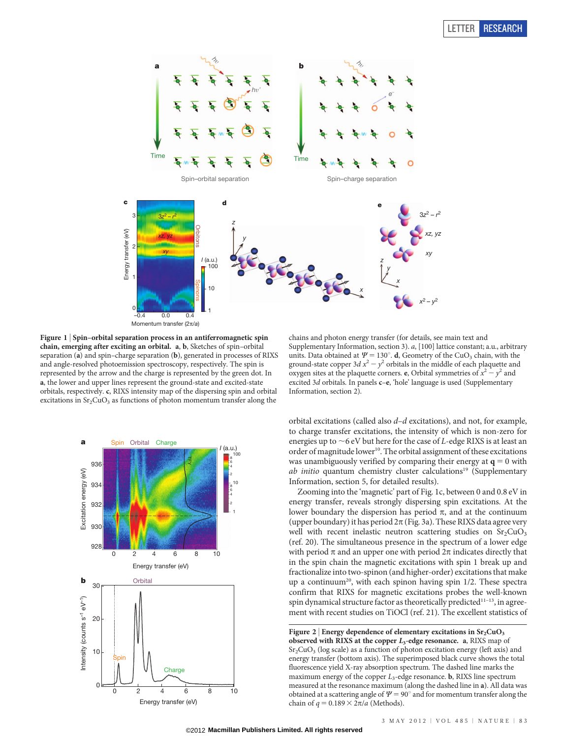

Figure 1 | Spin–orbital separation process in an antiferromagnetic spin chain, emerging after exciting an orbital. a, b, Sketches of spin–orbital separation (a) and spin–charge separation (b), generated in processes of RIXS and angle-resolved photoemission spectroscopy, respectively. The spin is represented by the arrow and the charge is represented by the green dot. In a, the lower and upper lines represent the ground-state and excited-state orbitals, respectively. c, RIXS intensity map of the dispersing spin and orbital excitations in  $Sr<sub>2</sub>CuO<sub>3</sub>$  as functions of photon momentum transfer along the



chains and photon energy transfer (for details, see main text and Supplementary Information, section 3). a, [100] lattice constant; a.u., arbitrary units. Data obtained at  $\Psi = 130^\circ$ . d, Geometry of the CuO<sub>3</sub> chain, with the ground-state copper  $3d x^2 - y^2$  orbitals in the middle of each plaquette and oxygen sites at the plaquette corners. e, Orbital symmetries of  $x^2 - y^2$  and excited 3d orbitals. In panels c–e, 'hole' language is used (Supplementary Information, section 2).

orbital excitations (called also d–d excitations), and not, for example, to charge transfer excitations, the intensity of which is non-zero for energies up to  $\sim$ 6 eV but here for the case of L-edge RIXS is at least an order of magnitude lower<sup>10</sup>. The orbital assignment of these excitations was unambiguously verified by comparing their energy at  $q = 0$  with  $ab$  initio quantum chemistry cluster calculations<sup>19</sup> (Supplementary Information, section 5, for detailed results).

Zooming into the 'magnetic' part of Fig. 1c, between 0 and 0.8 eV in energy transfer, reveals strongly dispersing spin excitations. At the lower boundary the dispersion has period  $\pi$ , and at the continuum (upper boundary) it has period  $2\pi$  (Fig. 3a). These RIXS data agree very well with recent inelastic neutron scattering studies on  $Sr<sub>2</sub>CuO<sub>3</sub>$ (ref. 20). The simultaneous presence in the spectrum of a lower edge with period  $\pi$  and an upper one with period  $2\pi$  indicates directly that in the spin chain the magnetic excitations with spin 1 break up and fractionalize into two-spinon (and higher-order) excitations that make up a continuum<sup>20</sup>, with each spinon having spin 1/2. These spectra confirm that RIXS for magnetic excitations probes the well-known spin dynamical structure factor as theoretically predicted $11-13$ , in agreement with recent studies on TiOCl (ref. 21). The excellent statistics of

Figure 2 | Energy dependence of elementary excitations in  $Sr<sub>2</sub>CuO<sub>3</sub>$ observed with RIXS at the copper  $L_3$ -edge resonance. a, RIXS map of  $Sr<sub>2</sub>CuO<sub>3</sub>$  (log scale) as a function of photon excitation energy (left axis) and energy transfer (bottom axis). The superimposed black curve shows the total fluorescence yield X-ray absorption spectrum. The dashed line marks the maximum energy of the copper  $L_3$ -edge resonance. **b**, RIXS line spectrum measured at the resonance maximum (along the dashed line in a). All data was obtained at a scattering angle of  $\varPsi=90^\circ$  and for momentum transfer along the chain of  $q = 0.189 \times 2\pi/a$  (Methods).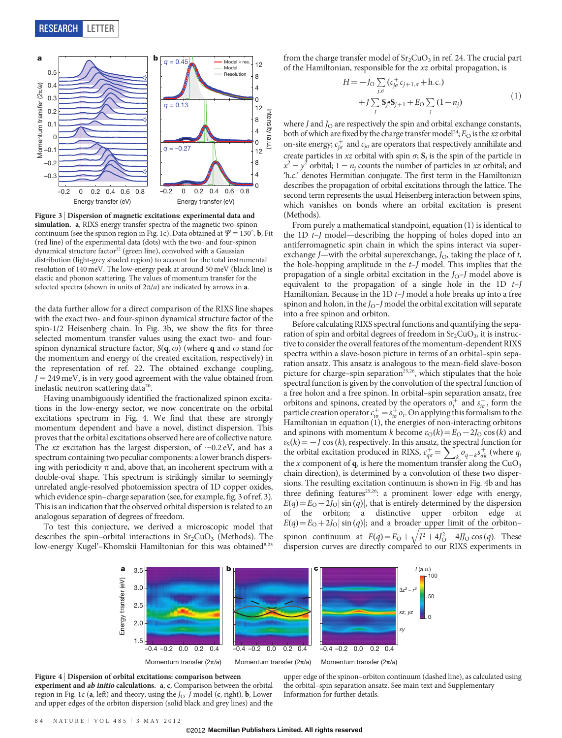

Figure 3 <sup>|</sup> Dispersion of magnetic excitations: experimental data and simulation. a, RIXS energy transfer spectra of the magnetic two-spinon continuum (see the spinon region in Fig. 1c). Data obtained at  $\Psi$  = 130°. **b**, Fit (red line) of the experimental data (dots) with the two- and four-spinon dynamical structure factor<sup>22</sup> (green line), convolved with a Gaussian distribution (light-grey shaded region) to account for the total instrumental resolution of 140 meV. The low-energy peak at around 50 meV (black line) is elastic and phonon scattering. The values of momentum transfer for the selected spectra (shown in units of  $2\pi/a$ ) are indicated by arrows in a.

the data further allow for a direct comparison of the RIXS line shapes with the exact two- and four-spinon dynamical structure factor of the spin-1/2 Heisenberg chain. In Fig. 3b, we show the fits for three selected momentum transfer values using the exact two- and fourspinon dynamical structure factor,  $S(q, \omega)$  (where q and  $\omega$  stand for the momentum and energy of the created excitation, respectively) in the representation of ref. 22. The obtained exchange coupling,  $J = 249$  meV, is in very good agreement with the value obtained from inelastic neutron scattering data<sup>20</sup>.

Having unambiguously identified the fractionalized spinon excitations in the low-energy sector, we now concentrate on the orbital excitations spectrum in Fig. 4. We find that these are strongly momentum dependent and have a novel, distinct dispersion. This proves that the orbital excitations observed here are of collective nature. The xz excitation has the largest dispersion, of  $\sim$ 0.2 eV, and has a spectrum containing two peculiar components: a lower branch dispersing with periodicity  $\pi$  and, above that, an incoherent spectrum with a double-oval shape. This spectrum is strikingly similar to seemingly unrelated angle-resolved photoemission spectra of 1D copper oxides, which evidence spin–charge separation (see, for example, fig. 3 of ref. 3). This is an indication that the observed orbital dispersion is related to an analogous separation of degrees of freedom.

To test this conjecture, we derived a microscopic model that describes the spin–orbital interactions in  $Sr<sub>2</sub>CuO<sub>3</sub>$  (Methods). The low-energy Kugel'-Khomskii Hamiltonian for this was obtained<sup>8,23</sup>

from the charge transfer model of  $Sr<sub>2</sub>CuO<sub>3</sub>$  in ref. 24. The crucial part of the Hamiltonian, responsible for the xz orbital propagation, is

$$
H = -J_{\text{O}} \sum_{j,\sigma} (c_{j\sigma}^{+} c_{j+1,\sigma} + \text{h.c.})
$$
  
+  $J \sum_{j} \text{S}_{j} \cdot \text{S}_{j+1} + E_{\text{O}} \sum_{j} (1 - n_{j})$  (1)

where *J* and  $J_{\Omega}$  are respectively the spin and orbital exchange constants, both of which are fixed by the charge transfer model<sup>24</sup>;  $E_O$  is the xz orbital on-site energy;  $c_{j\sigma}^{+}$  and  $c_{j\sigma}$  are operators that respectively annihilate and create particles in xz orbital with spin  $\sigma$ ;  $S_i$  is the spin of the particle in  $x^2 - y^2$  orbital;  $1 - n_j$  counts the number of particles in xz orbital; and 'h.c.' denotes Hermitian conjugate. The first term in the Hamiltonian describes the propagation of orbital excitations through the lattice. The second term represents the usual Heisenberg interaction between spins, which vanishes on bonds where an orbital excitation is present (Methods).

From purely a mathematical standpoint, equation (1) is identical to the 1D t–J model—describing the hopping of holes doped into an antiferromagnetic spin chain in which the spins interact via superexchange *J*—with the orbital superexchange,  $J<sub>O</sub>$ , taking the place of t, the hole-hopping amplitude in the t–J model. This implies that the propagation of a single orbital excitation in the  $J<sub>O</sub>$ –J model above is equivalent to the propagation of a single hole in the 1D  $t-J$ Hamiltonian. Because in the 1D t–J model a hole breaks up into a free spinon and holon, in the  $J<sub>O</sub>$ –J model the orbital excitation will separate into a free spinon and orbiton.

Before calculating RIXS spectral functions and quantifying the separation of spin and orbital degrees of freedom in  $Sr<sub>2</sub>CuO<sub>3</sub>$ , it is instructive to consider the overall features of the momentum-dependent RIXS spectra within a slave-boson picture in terms of an orbital–spin separation ansatz. This ansatz is analogous to the mean-field slave-boson picture for charge–spin separation<sup>25,26</sup>, which stipulates that the hole spectral function is given by the convolution of the spectral function of a free holon and a free spinon. In orbital–spin separation ansatz, free orbitons and spinons, created by the operators  $o_i^+$  and  $s_i^+$ , form the particle creation operator  $c_{i\sigma}^+ = s_{i\sigma}^+ o_i$ . On applying this formalism to the Hamiltonian in equation (1), the energies of non-interacting orbitons and spinons with momentum k become  $\varepsilon_{\text{O}}(k) = E_{\text{O}} - 2J_{\text{O}} \cos(k)$  and  $\varepsilon_{S}(k)=-J\cos(k)$ , respectively. In this ansatz, the spectral function for  $t_{\rm g}(k) = -f \cos(k),$  respectively. In this ansatz, the spectral function for<br>the orbital excitation produced in RIXS,  $c_{q\sigma}^{\dagger} = \sum_{k} o_{q-k} s_{\sigma k}^{\dagger}$  (where q. the x component of  $q$ , is here the momentum transfer along the CuO<sub>3</sub> chain direction), is determined by a convolution of these two dispersions. The resulting excitation continuum is shown in Fig. 4b and has three defining features<sup>25,26</sup>: a prominent lower edge with energy,  $E(q) = E_O - 2J_O |\sin(q)|$ , that is entirely determined by the dispersion of the orbiton; a distinctive upper orbiton edge at  $E(q) = E_O + 2J_O |\sin(q)|$ ; and a broader upper limit of the orbitonspinon continuum at  $F(q) = E_O + \sqrt{J^2 + 4J_O^2 - 4J_O \cos(q)}$ . These dispersion curves are directly compared to our RIXS experiments in



Figure 4 <sup>|</sup> Dispersion of orbital excitations: comparison between

experiment and ab initio calculations. a, c, Comparison between the orbital region in Fig. 1c (a, left) and theory, using the  $J_O$ – $\bar{J}$  model (c, right). b, Lower and upper edges of the orbiton dispersion (solid black and grey lines) and the

upper edge of the spinon–orbiton continuum (dashed line), as calculated using the orbital–spin separation ansatz. See main text and Supplementary Information for further details.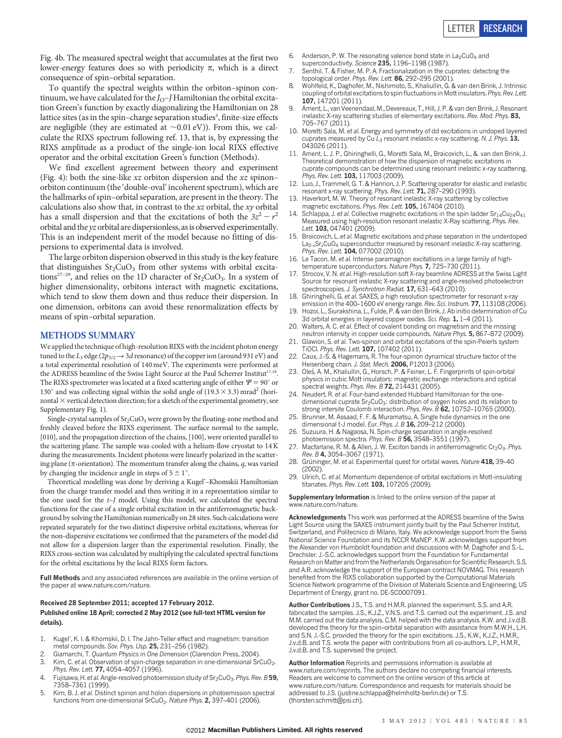

Fig. 4b. The measured spectral weight that accumulates at the first two lower-energy features does so with periodicity  $\pi$ , which is a direct consequence of spin–orbital separation.

To quantify the spectral weights within the orbiton–spinon continuum, we have calculated for the  $J<sub>O</sub>$ –J Hamiltonian the orbital excitation Green's function by exactly diagonalizing the Hamiltonian on 28 lattice sites (as in the spin–charge separation studies $^3$ , finite-size effects are negligible (they are estimated at  $\sim$ 0.01 eV)). From this, we calculate the RIXS spectrum following ref. 13, that is, by expressing the RIXS amplitude as a product of the single-ion local RIXS effective operator and the orbital excitation Green's function (Methods).

We find excellent agreement between theory and experiment (Fig. 4): both the sine-like  $xz$  orbiton dispersion and the  $xz$  spinon– orbiton continuum (the 'double-oval' incoherent spectrum), which are the hallmarks of spin–orbital separation, are present in the theory. The calculations also show that, in contrast to the xz orbital, the xy orbital has a small dispersion and that the excitations of both the  $3z^2 - r^2$ orbital and the yz orbital are dispersionless, as is observed experimentally. This is an independent merit of the model because no fitting of dispersions to experimental data is involved.

The large orbiton dispersion observed in this study is the key feature that distinguishes  $Sr<sub>2</sub>CuO<sub>3</sub>$  from other systems with orbital excitations<sup>27-29</sup>, and relies on the 1D character of  $Sr<sub>2</sub>CuO<sub>3</sub>$ . In a system of higher dimensionality, orbitons interact with magnetic excitations, which tend to slow them down and thus reduce their dispersion. In one dimension, orbitons can avoid these renormalization effects by means of spin–orbital separation.

## METHODS SUMMARY

We applied the technique of high-resolution RIXS with the incident photon energy tuned to the  $L_3$  edge ( $2p_{3/2} \rightarrow 3d$  resonance) of the copper ion (around 931 eV) and a total experimental resolution of 140 meV. The experiments were performed at the ADRESS beamline of the Swiss Light Source at the Paul Scherrer Institut<sup>17,18</sup> The RIXS spectrometer was located at a fixed scattering angle of either  $\Psi = 90^\circ$  or 130° and was collecting signal within the solid angle of (19.3  $\times$  3.3) mrad<sup>2</sup> (horizontal  $\times$  vertical detection direction; for a sketch of the experimental geometry, see Supplementary Fig. 1).

Single-crystal samples of  $Sr_2CuO_3$  were grown by the floating-zone method and freshly cleaved before the RIXS experiment. The surface normal to the sample, [010], and the propagation direction of the chains, [100], were oriented parallel to the scattering plane. The sample was cooled with a helium-flow cryostat to 14 K during the measurements. Incident photons were linearly polarized in the scattering plane ( $\pi$ -orientation). The momentum transfer along the chains,  $q$ , was varied by changing the incidence angle in steps of  $5 \pm 1^{\circ}$ .

Theoretical modelling was done by deriving a Kugel'–Khomskii Hamiltonian from the charge transfer model and then writing it in a representation similar to the one used for the t–J model. Using this model, we calculated the spectral functions for the case of a single orbital excitation in the antiferromagnetic background by solving the Hamiltonian numerically on 28 sites. Such calculations were repeated separately for the two distinct dispersive orbital excitations, whereas for the non-dispersive excitations we confirmed that the parameters of the model did not allow for a dispersion larger than the experimental resolution. Finally, the RIXS cross-section was calculated by multiplying the calculated spectral functions for the orbital excitations by the local RIXS form factors.

Full Methods and any associated references are available in the online version of the paper at<www.nature.com/nature>.

## Received 28 September 2011; accepted 17 February 2012. Published online 18 April; corrected 2 May 2012 (see full-text HTML version for details).

- 1. Kugel', K. I. & Khomskii, D. I. The Jahn-Teller effect and magnetism: transition metal compounds. Sov. Phys. Usp. 25, 231–256 (1982).
- 2. Giamarchi, T. Quantum Physics in One Dimension (Clarendon Press, 2004).<br>3. Kim, C. et al. Observation of spin-charge separation in one-dimensional Sr
- Kim, C. et al. Observation of spin-charge separation in one-dimensional SrCuO<sub>2</sub>. Phys. Rev. Lett. 77, 4054-4057 (1996).
- 4. Fujisawa, H. et al. Angle-resolved photoemission study of  $Sr_2CuO_3$ . Phys. Rev. B 59, 7358–7361 (1999).
- 5. Kim, B. J. et al. Distinct spinon and holon dispersions in photoemission spectral functions from one-dimensional SrCuO<sub>2</sub>. Nature Phys. 2, 397-401 (2006).
- Anderson, P. W. The resonating valence bond state in  $La_2CuO_4$  and superconductivity. Science **235**, 1196-1198 (1987).
- 7. Senthil, T. & Fisher, M. P. A. Fractionalization in the cuprates: detecting the topological order. Phys. Rev. Lett. 86, 292-295 (2001).
- 8. Wohlfeld, K., Daghofer, M., Nishimoto, S., Khaliullin, G. & van den Brink, J. Intrinsic coupling of orbital excitations to spin fluctuations in Mott insulators.Phys. Rev. Lett. 107, 147201 (2011).
- 9. Ament, L., van Veenendaal, M., Devereaux, T., Hill, J. P. & van den Brink, J. Resonant inelastic X-ray scattering studies of elementary excitations. Rev. Mod. Phys. 83, 705–767 (2011).
- 10. Moretti Sala, M. et al. Energy and symmetry of dd excitations in undoped layered cuprates measured by Cu  $L_3$  resonant inelastic x-ray scattering. N. J. Phys. 13, 043026 (2011).
- 11. Ament, L. J. P., Ghiringhelli, G., Moretti Sala, M., Braicovich, L., &. van den Brink, J. Theoretical demonstration of how the dispersion of magnetic excitations in cuprate compounds can be determined using resonant inelastic x-ray scattering.
- Phys. Rev. Lett. 103, 117003 (2009). 12. Luo, J., Trammell, G. T. & Hannon, J. P. Scattering operator for elastic and inelastic resonant x-ray scattering. Phys. Rev. Lett. 71, 287-290 (1993).
- 13. Haverkort, M. W. Theory of resonant inelastic X-ray scattering by collective magnetic excitations. Phys. Rev. Lett. 105, 167404 (2010).
- Schlappa, J. et al. Collective magnetic excitations in the spin ladder  $Sr_{14}Cu_{24}O_{41}$ Measured using high-resolution resonant inelastic X-Ray scattering. Phys. Rev. Lett. 103, 047401 (2009).
- 15. Braicovich, L. et al. Magnetic excitations and phase separation in the underdoped  $La<sub>2-x</sub>Sr<sub>x</sub>CuO<sub>4</sub> superconductor measured by resonant inelastic X-ray scattering.$ Phys. Rev. Lett. 104, 077002 (2010).
- 16. Le Tacon, M. et al. Intense paramagnon excitations in a large family of hightemperature superconductors. Nature Phys. 7, 725-730 (2011).
- 17. Strocov, V. N. et al. High-resolution soft X-ray beamline ADRESS at the Swiss Light Source for resonant inelastic X-ray scattering and angle-resolved photoelectron spectroscopies. J. Synchrotron Radiat. 17, 631-643 (2010).
- 18. Ghiringhelli, G. et al. SAXES, a high resolution spectrometer for resonant x-ray emission in the 400–1600 eV energy range. Rev. Sci. Instrum. 77, 113108 (2006).
- 19. Hozoi, L., Siurakshina, L., Fulde, P. & van den Brink, J. Ab initio determination of Cu 3d orbital energies in layered copper oxides. Sci. Rep. 1, 1-4 (2011).
- 20. Walters, A. C. et al. Effect of covalent bonding on magnetism and the missing neutron intensity in copper oxide compounds. Nature Phys. 5, 867–872 (2009).
- 21. Glawion, S. et al. Two-spinon and orbital excitations of the spin-Peierls system TiOCl. Phys. Rev. Lett. 107, 107402 (2011).
- 22. Caux, J.-S. & Hagemans, R. The four-spinon dynamical structure factor of the Heisenberg chain. J. Stat. Mech. 2006, P12013 (2006).
- 23. Oleś, A. M., Khaliullin, G., Horsch, P. & Feiner, L. F. Fingerprints of spin-orbital physics in cubic Mott insulators: magnetic exchange interactions and optical spectral weights. Phys. Rev.  $B$  72, 214431 (2005).
- 24. Neudert, R. et al. Four-band extended Hubbard Hamiltonian for the onedimensional cuprate Sr<sub>2</sub>CuO<sub>3</sub>: distribution of oxygen holes and its relation to strong intersite Coulomb interaction. Phys. Rev. B 62, 10752-10765 (2000).
- 25. Brunner, M. Assaad, F. F. & Muramatsu, A. Single hole dynamics in the one dimensional t-J model. Eur. Phys. J. B 16, 209-212 (2000).
- 26. Suzuura, H. & Nagaosa, N. Spin-charge separation in angle-resolved photoemission spectra. Phys. Rev. B 56, 3548-3551 (1997)
- 27. Macfarlane, R. M. & Allen, J. W. Exciton bands in antiferromagnetic Cr<sub>2</sub>O<sub>3</sub>. Phys. Rev. B 4, 3054–3067 (1971).
- 28. Grüninger, M. et al. Experimental quest for orbital waves. Nature 418, 39-40 (2002).
- 29. Ulrich, C. et al. Momentum dependence of orbital excitations in Mott-insulating titanates. Phys. Rev. Lett. 103, 107205 (2009).

Supplementary Information is linked to the online version of the paper at <www.nature.com/nature>.

Acknowledgements This work was performed at the ADRESS beamline of the Swiss Light Source using the SAXES instrument jointly built by the Paul Scherrer Institut, Switzerland, and Politecnico di Milano, Italy. We acknowledge support from the Swiss National Science Foundation and its NCCR MaNEP. K.W. acknowledges support from the Alexander von Humboldt foundation and discussions with M. Daghofer and S.-L. Drechsler. J.-S.C. acknowledges support from the Foundation for Fundamental Research on Matter and from the Netherlands Organisation for Scientific Research. S.S. and A.R. acknowledge the support of the European contract NOVMAG. This research benefited from the RIXS collaboration supported by the Computational Materials Science Network programme of the Division of Materials Science and Engineering, US Department of Energy, grant no. DE-SC0007091.

Author Contributions J.S., T.S. and H.M.R. planned the experiment. S.S. and A.R. fabricated the samples. J.S., K.J.Z., V.N.S. and T.S. carried out the experiment. J.S. and M.M. carried out the data analysis. C.M. helped with the data analysis. K.W. and J.v.d.B. developed the theory for the spin–orbital separation with assistance from M.W.H., L.H. and S.N. J.-S.C. provided the theory for the spin excitations. J.S., K.W., K.J.Z., H.M.R., J.v.d.B. and T.S. wrote the paper with contributions from all co-authors. L.P., H.M.R., J.v.d.B. and T.S. supervised the project.

Author Information Reprints and permissions information is available at <www.nature.com/reprints>. The authors declare no competing financial interests. Readers are welcome to comment on the online version of this article at <www.nature.com/nature>. Correspondence and requests for materials should be addressed to J.S. [\(justine.schlappa@helmholtz-berlin.de\)](mailto:justine.schlappa@helmholtz-berlin.de) or T.S. [\(thorsten.schmitt@psi.ch\)](mailto:thorsten.schmitt@psi.ch).